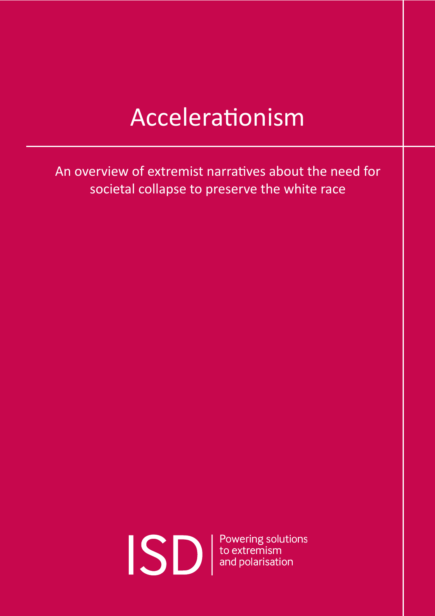### Accelerationism

An overview of extremist narratives about the need for societal collapse to preserve the white race

*Produced by [the Institute for Strategic Dialogue](http://www.isdglobal.org) (ISD).* 1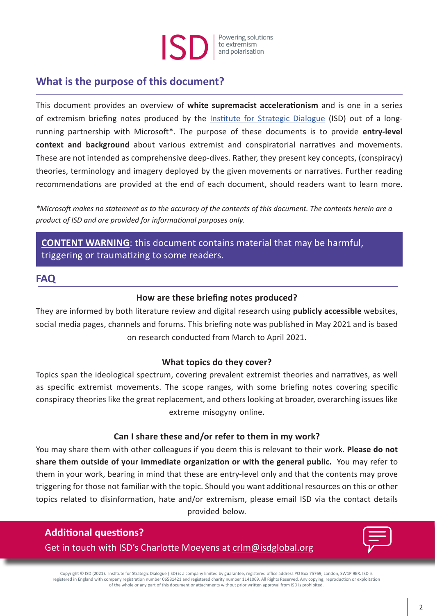#### Powering solutions to extremism and polarisation

#### **What is the purpose of this document?**

This document provides an overview of **white supremacist accelerationism** and is one in a series of extremism briefing notes produced by the [Institute for Strategic Dialogue](http://www.isdglobal.org) (ISD) out of a longrunning partnership with Microsoft\*. The purpose of these documents is to provide **entry-level context and background** about various extremist and conspiratorial narratives and movements. These are not intended as comprehensive deep-dives. Rather, they present key concepts, (conspiracy) theories, terminology and imagery deployed by the given movements or narratives. Further reading recommendations are provided at the end of each document, should readers want to learn more.

*\*Microsoft makes no statement as to the accuracy of the contents of this document. The contents herein are a product of ISD and are provided for informational purposes only.*

**CONTENT WARNING**: this document contains material that may be harmful, triggering or traumatizing to some readers.

#### **FAQ**

#### **How are these briefing notes produced?**

They are informed by both literature review and digital research using **publicly accessible** websites, social media pages, channels and forums. This briefing note was published in May 2021 and is based on research conducted from March to April 2021.

#### **What topics do they cover?**

Topics span the ideological spectrum, covering prevalent extremist theories and narratives, as well as specific extremist movements. The scope ranges, with some briefing notes covering specific conspiracy theories like the great replacement, and others looking at broader, overarching issues like extreme misogyny online.

#### **Can I share these and/or refer to them in my work?**

You may share them with other colleagues if you deem this is relevant to their work. **Please do not share them outside of your immediate organization or with the general public.** You may refer to them in your work, bearing in mind that these are entry-level only and that the contents may prove triggering for those not familiar with the topic. Should you want additional resources on this or other topics related to disinformation, hate and/or extremism, please email ISD via the contact details provided below.

**Additional questions?**  Get in touch with ISD's Charlotte Moeyens at [crlm@isdglobal.org](mailto:crlm%40isdglobal.org?subject=Extremism%20Factsheets)



Copyright © ISD (2021). Institute for Strategic Dialogue (ISD) is a company limited by guarantee, registered office address PO Box 75769, London, SW1P 9ER. ISD is registered in England with company registration number 06581421 and registered charity number 1141069. All Rights Reserved. Any copying, reproduction or exploitation of the whole or any part of this document or attachments without prior written approval from ISD is prohibited.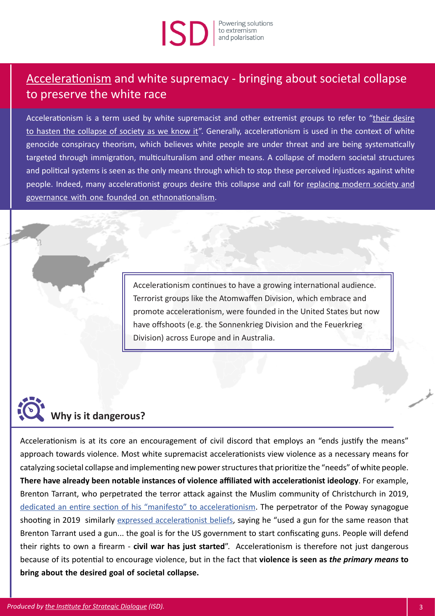# solutions to extremism<br>and polarisation

#### Accelerationism and white supremacy - bringing about societal collapse to preserve the white race

Accelerationism is a term used by white supremacist and other extremist groups to refer to "their desire [to hasten the collapse of society as we know it"](https://www.adl.org/blog/white-supremacists-embrace-accelerationism). Generally, accelerationism is used in the context of white genocide conspiracy theorism, which believes white people are under threat and are being systematically targeted through immigration, multiculturalism and other means. A collapse of modern societal structures and political systems is seen as the only means through which to stop these perceived injustices against white people. Indeed, many accelerationist groups desire this collapse and call for replacing modern society and [governance with one founded on ethnonationalism.](https://www.splcenter.org/hatewatch/2020/06/23/there-no-political-solution-accelerationism-white-power-movement)

> Accelerationism continues to have a growing international audience. Terrorist groups like the Atomwaffen Division, which embrace and promote accelerationism, were founded in the United States but now have offshoots (e.g. the Sonnenkrieg Division and the Feuerkrieg Division) across Europe and in Australia.

## **Why is it dangerous?**

Accelerationism is at its core an encouragement of civil discord that employs an "ends justify the means" approach towards violence. Most white supremacist accelerationists view violence as a necessary means for catalyzing societal collapse and implementing new power structures that prioritize the "needs" of white people. **There have already been notable instances of violence affiliated with accelerationist ideology**. For example, Brenton Tarrant, who perpetrated the terror attack against the Muslim community of Christchurch in 2019, [dedicated an entire section of his "manifesto" to accelerationism.](https://www.vox.com/the-highlight/2019/11/11/20882005/accelerationism-white-supremacy-christchurch) The perpetrator of the Poway synagogue shooting in 2019 similarly expressed [accelerationist beliefs,](https://www.vox.com/the-highlight/2019/11/11/20882005/accelerationism-white-supremacy-christchurch) saying he "used a gun for the same reason that Brenton Tarrant used a gun... the goal is for the US government to start confiscating guns. People will defend their rights to own a firearm - **civil war has just started**". Accelerationism is therefore not just dangerous because of its potential to encourage violence, but in the fact that **violence is seen as** *the primary means* **to bring about the desired goal of societal collapse.**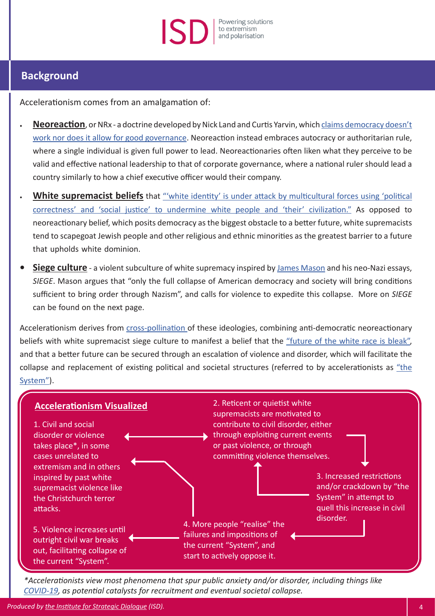#### Powering solutions to extremism and polarisation

#### **Background**

Accelerationism comes from an amalgamation of:

- **• [Neoreaction](https://www.theatlantic.com/politics/archive/2017/02/behind-the-internets-dark-anti-democracy-movement/516243/)**, or NRx a doctrine developed by Nick Land and Curtis Yarvin, which [claims democracy doesn't](https://www.vox.com/the-highlight/2019/11/11/20882005/accelerationism-white-supremacy-christchurch) [work nor does it allow for good governance.](https://www.vox.com/the-highlight/2019/11/11/20882005/accelerationism-white-supremacy-christchurch) Neoreaction instead embraces autocracy or authoritarian rule, where a single individual is given full power to lead. Neoreactionaries often liken what they perceive to be valid and effective national leadership to that of corporate governance, where a national ruler should lead a country similarly to how a chief executive officer would their company.
- **White supremacist beliefs** that ["'white identity' is under attack by multicultural forces using 'political](https://www.splcenter.org/fighting-hate/extremist-files/ideology/alt-right) [correctness' and 'social justice' to undermine white people and 'their' civilization."](https://www.splcenter.org/fighting-hate/extremist-files/ideology/alt-right) As opposed to neoreactionary belief, which posits democracy as the biggest obstacle to a better future, white supremacists tend to scapegoat Jewish people and other religious and ethnic minorities as the greatest barrier to a future that upholds white dominion.
- **• Siege culture** a violent subculture of white supremacy inspired by [James Mason](https://www.splcenter.org/fighting-hate/extremist-files/individual/james-mason) and his neo-Nazi essays, *SIEGE*. Mason argues that "only the full collapse of American democracy and society will bring conditions sufficient to bring order through Nazism", and calls for violence to expedite this collapse. More on *SIEGE* can be found on the next page.

Accelerationism derives from [cross-pollination o](https://www.vox.com/the-highlight/2019/11/11/20882005/accelerationism-white-supremacy-christchurch)f these ideologies, combining anti-democratic neoreactionary beliefs with white supremacist siege culture to manifest a belief that the ["future of the white race is bleak"](https://www.adl.org/blog/white-supremacists-embrace-accelerationism), and that a better future can be secured through an escalation of violence and disorder, which will facilitate the collapse and replacement of existing political and societal structures (referred to by accelerationists as ["the](https://www.brookings.edu/blog/order-from-chaos/2020/06/02/riots-white-supremacy-and-accelerationism/) [System"](https://www.brookings.edu/blog/order-from-chaos/2020/06/02/riots-white-supremacy-and-accelerationism/)).



*\*Accelerationists view most phenomena that spur public anxiety and/or disorder, including things like [COVID-19,](https://www.isdglobal.org/wp-content/uploads/2020/06/COVID-19-Briefing-02-Institute-for-Strategic-Dialogue-9th-April-2020.pdf) as potential catalysts for recruitment and eventual societal collapse.*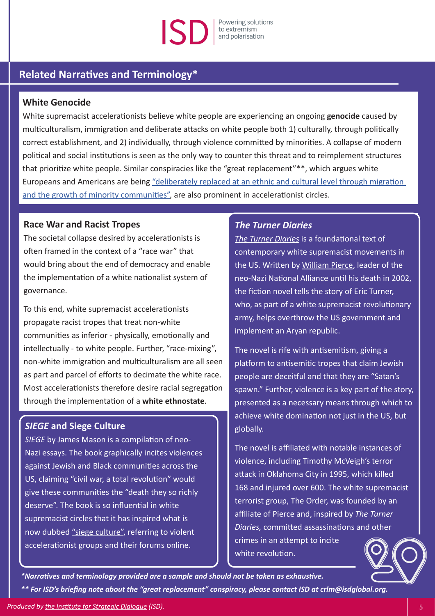### Powering solutions solar book the stremism

#### **Related Narratives and Terminology\***

#### **White Genocide**

White supremacist accelerationists believe white people are experiencing an ongoing **genocide** caused by multiculturalism, immigration and deliberate attacks on white people both 1) culturally, through politically correct establishment, and 2) individually, through violence committed by minorities. A collapse of modern political and social institutions is seen as the only way to counter this threat and to reimplement structures that prioritize white people. Similar conspiracies like the "great replacement"\*\*, which argues white Europeans and Americans are being ["deliberately replaced at an ethnic and cultural level through migration](https://www.isdglobal.org/isd-publications/the-great-replacement-the-violent-consequences-of-mainstreamed-extremism/)  [and the growth of minority communities"](https://www.isdglobal.org/isd-publications/the-great-replacement-the-violent-consequences-of-mainstreamed-extremism/), are also prominent in accelerationist circles.

#### **Race War and Racist Tropes**

The societal collapse desired by accelerationists is often framed in the context of a "race war" that would bring about the end of democracy and enable the implementation of a white nationalist system of governance.

To this end, white supremacist accelerationists propagate racist tropes that treat non-white communities as inferior - physically, emotionally and intellectually - to white people. Further, "race-mixing", non-white immigration and multiculturalism are all seen as part and parcel of efforts to decimate the white race. Most accelerationists therefore desire racial segregation through the implementation of a **white ethnostate**.

#### *SIEGE* **and Siege Culture**

*SIEGE* by James Mason is a compilation of neo-Nazi essays. The book graphically incites violences against Jewish and Black communities across the US, claiming "civil war, a total revolution" would give these communities the "death they so richly deserve". The book is so influential in white supremacist circles that it has inspired what is now dubbed ["siege culture",](https://crestresearch.ac.uk/comment/think-global-act-local-reconfiguring-siege-culture/) referring to violent accelerationist groups and their forums online.

#### *The Turner Diaries*

*[The Turner Diaries](https://www.adl.org/education/resources/backgrounders/turner-diaries)* is a foundational text of contemporary white supremacist movements in the US. Written by [William Pierce](https://www.splcenter.org/fighting-hate/extremist-files/individual/william-pierce), leader of the neo-Nazi National Alliance until his death in 2002, the fiction novel tells the story of Eric Turner, who, as part of a white supremacist revolutionary army, helps overthrow the US government and implement an Aryan republic.

The novel is rife with antisemitism, giving a platform to antisemitic tropes that claim Jewish people are deceitful and that they are "Satan's spawn." Further, violence is a key part of the story, presented as a necessary means through which to achieve white domination not just in the US, but globally.

The novel is affiliated with notable instances of violence, including Timothy McVeigh's terror attack in Oklahoma City in 1995, which killed 168 and injured over 600. The white supremacist terrorist group, The Order, was founded by an affiliate of Pierce and, inspired by *The Turner Diaries,* committed assassinations and other crimes in an attempt to incite

white revolution.

*\*Narratives and terminology provided are a sample and should not be taken as exhaustive. \*\* For ISD's briefing note about the "great replacement" conspiracy, please contact ISD at crlm@isdglobal.org.*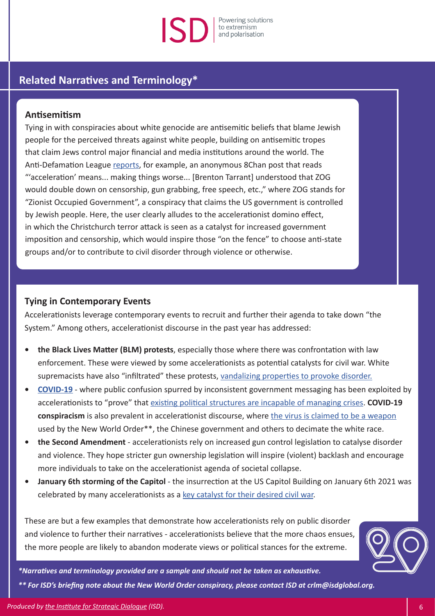#### Powering solutions to extremism<br>and polarisation

#### **Related Narratives and Terminology\***

#### **Antisemitism**

Tying in with conspiracies about white genocide are antisemitic beliefs that blame Jewish people for the perceived threats against white people, building on antisemitic tropes that claim Jews control major financial and media institutions around the world. The Anti-Defamation League [reports](https://www.adl.org/blog/white-supremacists-embrace-accelerationism), for example, an anonymous 8Chan post that reads "'acceleration' means... making things worse... [Brenton Tarrant] understood that ZOG would double down on censorship, gun grabbing, free speech, etc.," where ZOG stands for "Zionist Occupied Government", a conspiracy that claims the US government is controlled by Jewish people. Here, the user clearly alludes to the accelerationist domino effect, in which the Christchurch terror attack is seen as a catalyst for increased government imposition and censorship, which would inspire those "on the fence" to choose anti-state groups and/or to contribute to civil disorder through violence or otherwise.

#### **Tying in Contemporary Events**

Accelerationists leverage contemporary events to recruit and further their agenda to take down "the System." Among others, accelerationist discourse in the past year has addressed:

- **• the Black Lives Matter (BLM) protests**, especially those where there was confrontation with law enforcement. These were viewed by some accelerationists as potential catalysts for civil war. White supremacists have also "infiltrated" these protests, [vandalizing properties to provoke disorder.](https://www.facingsouth.org/2021/02/far-right-accelerationists-hope-spark-next-us-civil-war)
- **• [COVID-19](https://www.isdglobal.org/wp-content/uploads/2020/06/COVID-19-Briefing-02-Institute-for-Strategic-Dialogue-9th-April-2020.pdf)** where public confusion spurred by inconsistent government messaging has been exploited by accelerationists to "prove" that [existing political structures are incapable of managing crises](https://www.splcenter.org/hatewatch/2020/03/26/white-supremacists-see-coronavirus-opportunity). **COVID-19 conspiracism** is also prevalent in accelerationist discourse, where [the virus is claimed to be a weapon](https://thesoufancenter.org/intelbrief-white-supremacists-and-the-weaponization-of-the-coronavirus-covid-19/) used by the New World Order\*\*, the Chinese government and others to decimate the white race.
- **• the Second Amendment**  accelerationists rely on increased gun control legislation to catalyse disorder and violence. They hope stricter gun ownership legislation will inspire (violent) backlash and encourage more individuals to take on the accelerationist agenda of societal collapse.
- **• January 6th storming of the Capitol** the insurrection at the US Capitol Building on January 6th 2021 was celebrated by many accelerationists as a [key catalyst for their desired civil war.](https://www.vice.com/en/article/k7ankz/neo-nazi-accelerationists-celebrating-attack-on-congress-as-start-of-civil-war)

These are but a few examples that demonstrate how accelerationists rely on public disorder and violence to further their narratives - accelerationists believe that the more chaos ensues, the more people are likely to abandon moderate views or political stances for the extreme.



*\*Narratives and terminology provided are a sample and should not be taken as exhaustive.*

*\*\* For ISD's briefing note about the New World Order conspiracy, please contact ISD at crlm@isdglobal.org.*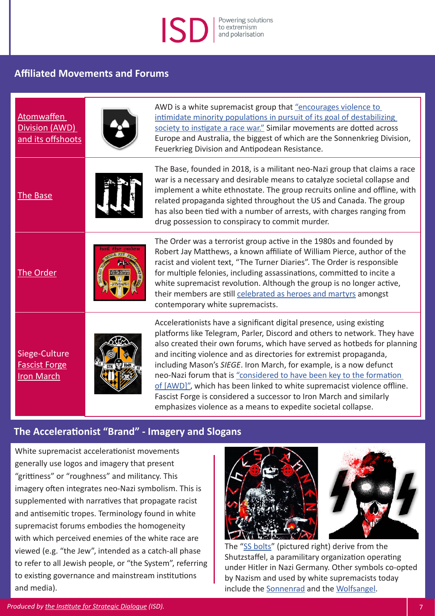#### Powering solutions to extremism and polarisation

#### **Affiliated Movements and Forums**

| Atomwaffen<br>Division (AWD)<br>and its offshoots          | AWD is a white supremacist group that "encourages violence to<br>intimidate minority populations in pursuit of its goal of destabilizing<br>society to instigate a race war." Similar movements are dotted across<br>Europe and Australia, the biggest of which are the Sonnenkrieg Division,<br>Feuerkrieg Division and Antipodean Resistance.                                                                                                                                                                                                                                                                                                                      |
|------------------------------------------------------------|----------------------------------------------------------------------------------------------------------------------------------------------------------------------------------------------------------------------------------------------------------------------------------------------------------------------------------------------------------------------------------------------------------------------------------------------------------------------------------------------------------------------------------------------------------------------------------------------------------------------------------------------------------------------|
| The Base                                                   | The Base, founded in 2018, is a militant neo-Nazi group that claims a race<br>war is a necessary and desirable means to catalyze societal collapse and<br>implement a white ethnostate. The group recruits online and offline, with<br>related propaganda sighted throughout the US and Canada. The group<br>has also been tied with a number of arrests, with charges ranging from<br>drug possession to conspiracy to commit murder.                                                                                                                                                                                                                               |
| The Order                                                  | The Order was a terrorist group active in the 1980s and founded by<br>Robert Jay Matthews, a known affiliate of William Pierce, author of the<br>racist and violent text, "The Turner Diaries". The Order is responsible<br>for multiple felonies, including assassinations, committed to incite a<br>white supremacist revolution. Although the group is no longer active,<br>their members are still celebrated as heroes and martyrs amongst<br>contemporary white supremacists.                                                                                                                                                                                  |
| Siege-Culture<br><b>Fascist Forge</b><br><b>Iron March</b> | Accelerationists have a significant digital presence, using existing<br>platforms like Telegram, Parler, Discord and others to network. They have<br>also created their own forums, which have served as hotbeds for planning<br>and inciting violence and as directories for extremist propaganda,<br>including Mason's SIEGE. Iron March, for example, is a now defunct<br>neo-Nazi forum that is "considered to have been key to the formation<br>of [AWD]", which has been linked to white supremacist violence offline.<br>Fascist Forge is considered a successor to Iron March and similarly<br>emphasizes violence as a means to expedite societal collapse. |

#### **The Accelerationist "Brand" - Imagery and Slogans**

White supremacist accelerationist movements generally use logos and imagery that present "grittiness" or "roughness" and militancy. This imagery often integrates neo-Nazi symbolism. This is supplemented with narratives that propagate racist and antisemitic tropes. Terminology found in white supremacist forums embodies the homogeneity with which perceived enemies of the white race are viewed (e.g. "the Jew", intended as a catch-all phase to refer to all Jewish people, or "the System", referring to existing governance and mainstream institutions and media).





The ["SS bolts](http://SS bolts)" (pictured right) derive from the Shutzstaffel, a paramilitary organization operating under Hitler in Nazi Germany. Other symbols co-opted by Nazism and used by white supremacists today include the [Sonnenrad](https://www.adl.org/education/references/hate-symbols/sonnenrad) and the [Wolfsangel](https://www.adl.org/education/references/hate-symbols/wolfsangel).